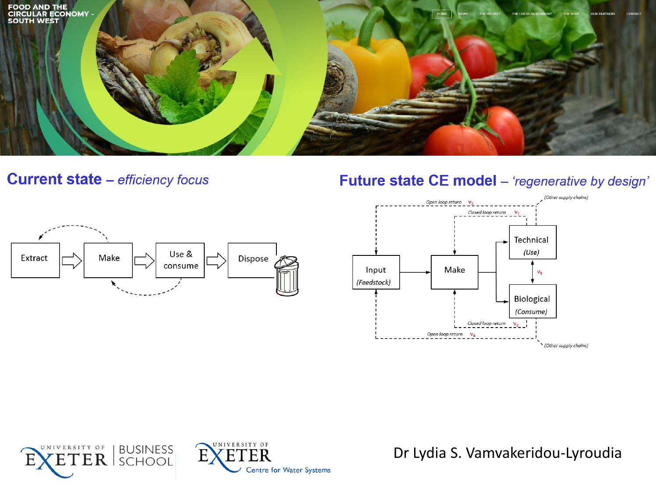

**Current state** - efficiency focus











Dr Lydia S. Vamvakeridou-Lyroudia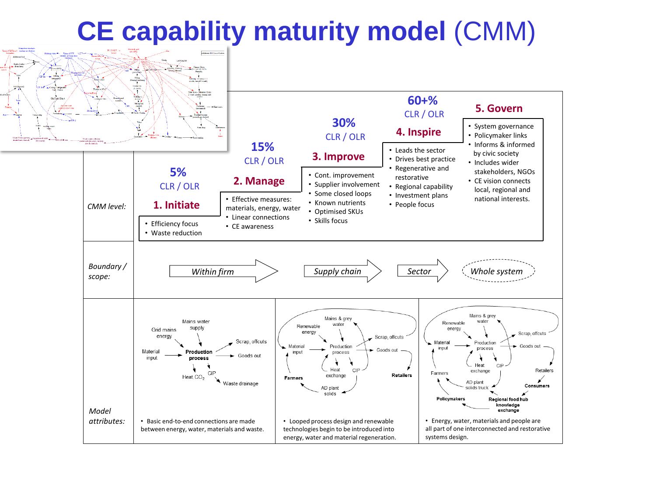# **CE capability maturity model** (CMM)

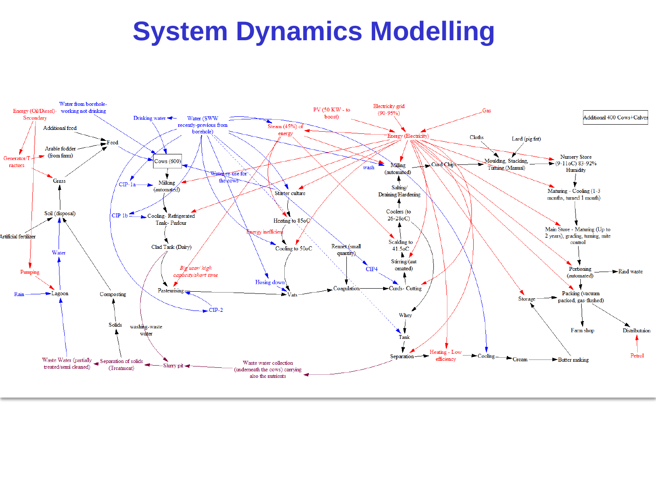### **System Dynamics Modelling**

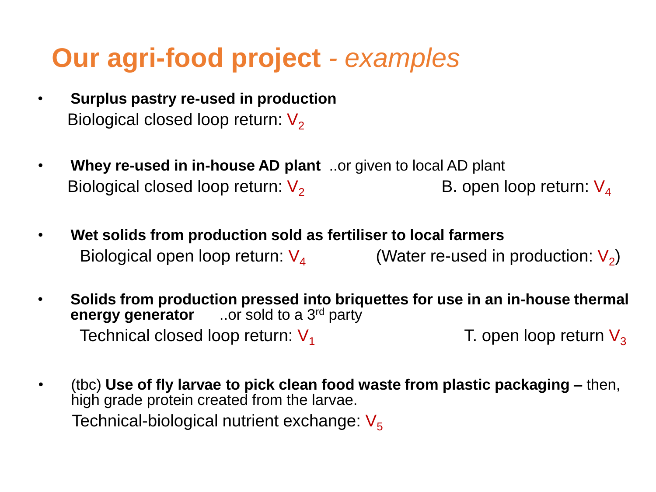## **Our agri-food project** *- examples*

- **Surplus pastry re-used in production** Biological closed loop return:  $V_2$
- **Whey re-used in in-house AD plant** ..or given to local AD plant Biological closed loop return:  $V_2$  B. open loop return:  $V_4$
- **Wet solids from production sold as fertiliser to local farmers** Biological open loop return:  $V_4$  (Water re-used in production:  $V_2$ )
- **Solids from production pressed into briquettes for use in an in-house thermal energy generator** ..or sold to a 3rd party Technical closed loop return:  $V_1$  T. open loop return  $V_3$
- (tbc) **Use of fly larvae to pick clean food waste from plastic packaging –** then, high grade protein created from the larvae. Technical-biological nutrient exchange:  $V_5$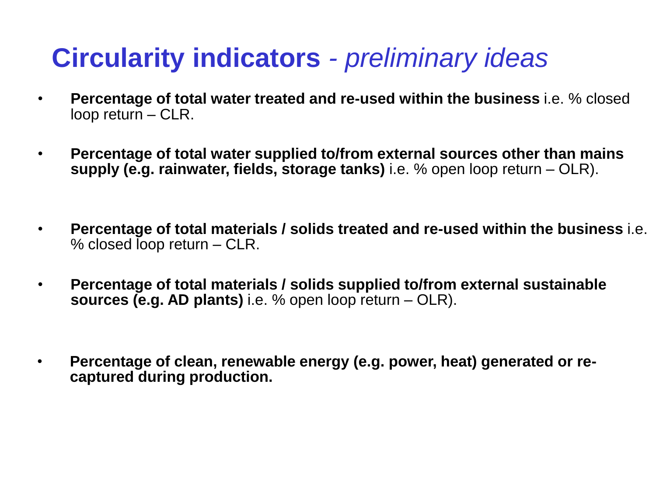# **Circularity indicators** *- preliminary ideas*

- **Percentage of total water treated and re-used within the business** i.e. % closed loop return – CLR.
- **Percentage of total water supplied to/from external sources other than mains supply (e.g. rainwater, fields, storage tanks)** i.e. % open loop return – OLR).
- **Percentage of total materials / solids treated and re-used within the business** i.e. % closed loop return – CLR.
- **Percentage of total materials / solids supplied to/from external sustainable sources (e.g. AD plants)** i.e. % open loop return – OLR).
- **Percentage of clean, renewable energy (e.g. power, heat) generated or recaptured during production.**